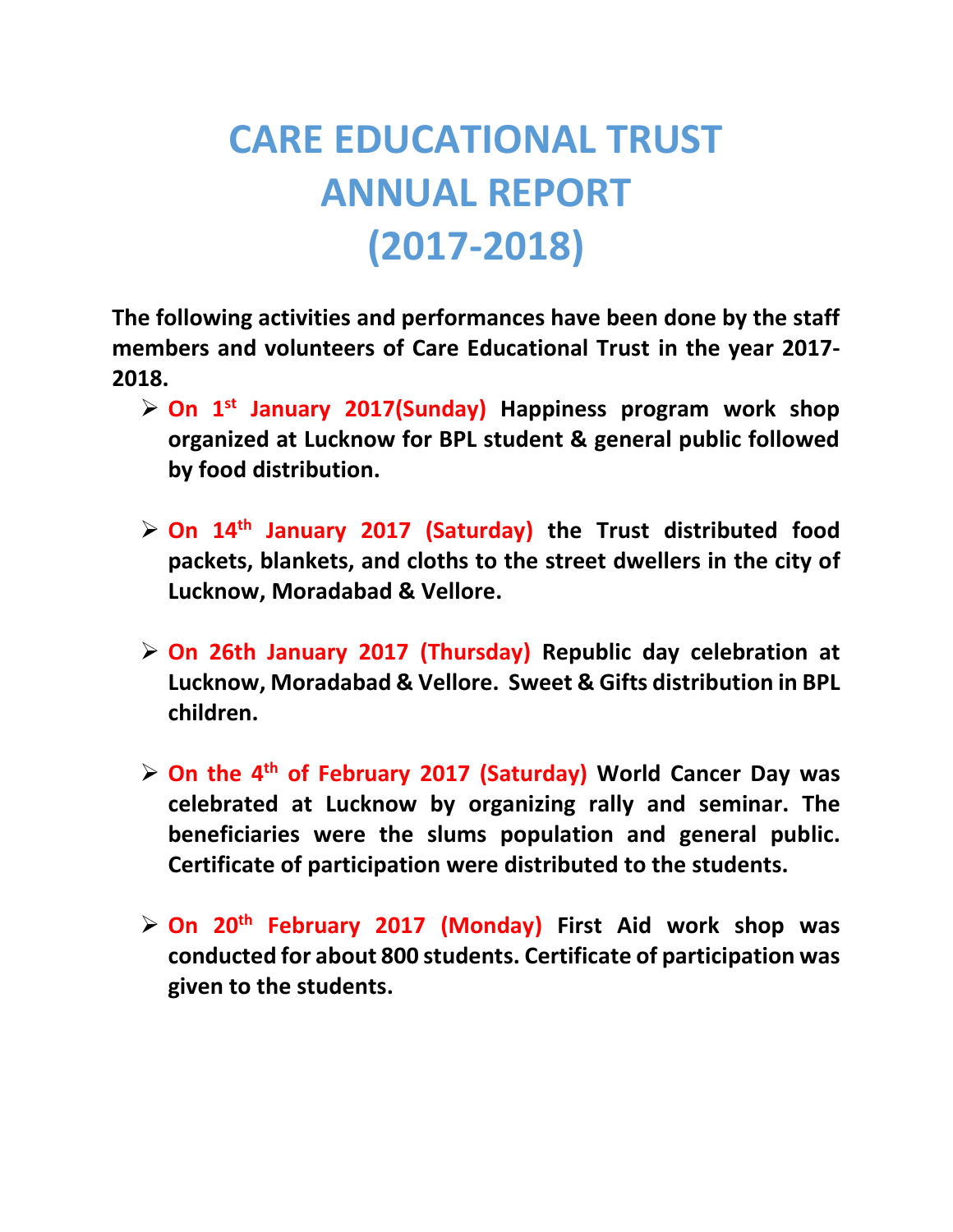## **CARE EDUCATIONAL TRUST ANNUAL REPORT (2017-2018)**

**The following activities and performances have been done by the staff members and volunteers of Care Educational Trust in the year 2017- 2018.**

- **On 1st January 2017(Sunday) Happiness program work shop organized at Lucknow for BPL student & general public followed by food distribution.**
- **On 14th January 2017 (Saturday) the Trust distributed food packets, blankets, and cloths to the street dwellers in the city of Lucknow, Moradabad & Vellore.**
- **On 26th January 2017 (Thursday) Republic day celebration at Lucknow, Moradabad & Vellore. Sweet & Gifts distribution in BPL children.**
- **On the 4th of February 2017 (Saturday) World Cancer Day was celebrated at Lucknow by organizing rally and seminar. The beneficiaries were the slums population and general public. Certificate of participation were distributed to the students.**
- **On 20th February 2017 (Monday) First Aid work shop was conducted for about 800 students. Certificate of participation was given to the students.**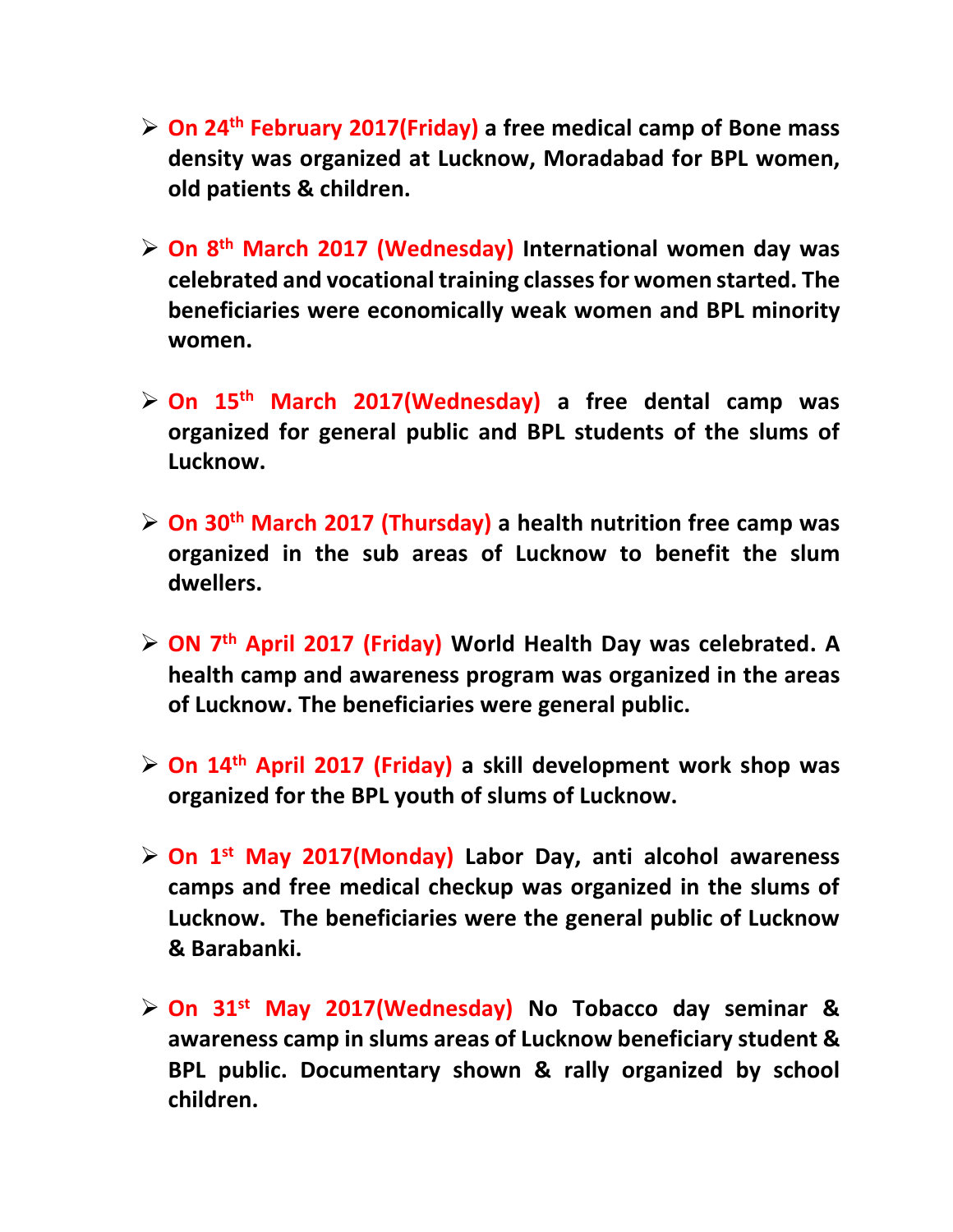- **On 24th February 2017(Friday) a free medical camp of Bone mass density was organized at Lucknow, Moradabad for BPL women, old patients & children.**
- **On 8th March 2017 (Wednesday) International women day was celebrated and vocational training classes for women started. The beneficiaries were economically weak women and BPL minority women.**
- **On 15th March 2017(Wednesday) a free dental camp was organized for general public and BPL students of the slums of Lucknow.**
- **On 30th March 2017 (Thursday) a health nutrition free camp was organized in the sub areas of Lucknow to benefit the slum dwellers.**
- **ON 7th April 2017 (Friday) World Health Day was celebrated. A health camp and awareness program was organized in the areas of Lucknow. The beneficiaries were general public.**
- **On 14th April 2017 (Friday) a skill development work shop was organized for the BPL youth of slums of Lucknow.**
- **On 1st May 2017(Monday) Labor Day, anti alcohol awareness camps and free medical checkup was organized in the slums of Lucknow. The beneficiaries were the general public of Lucknow & Barabanki.**
- **On 31 st May 2017(Wednesday) No Tobacco day seminar & awareness camp in slums areas of Lucknow beneficiary student & BPL public. Documentary shown & rally organized by school children.**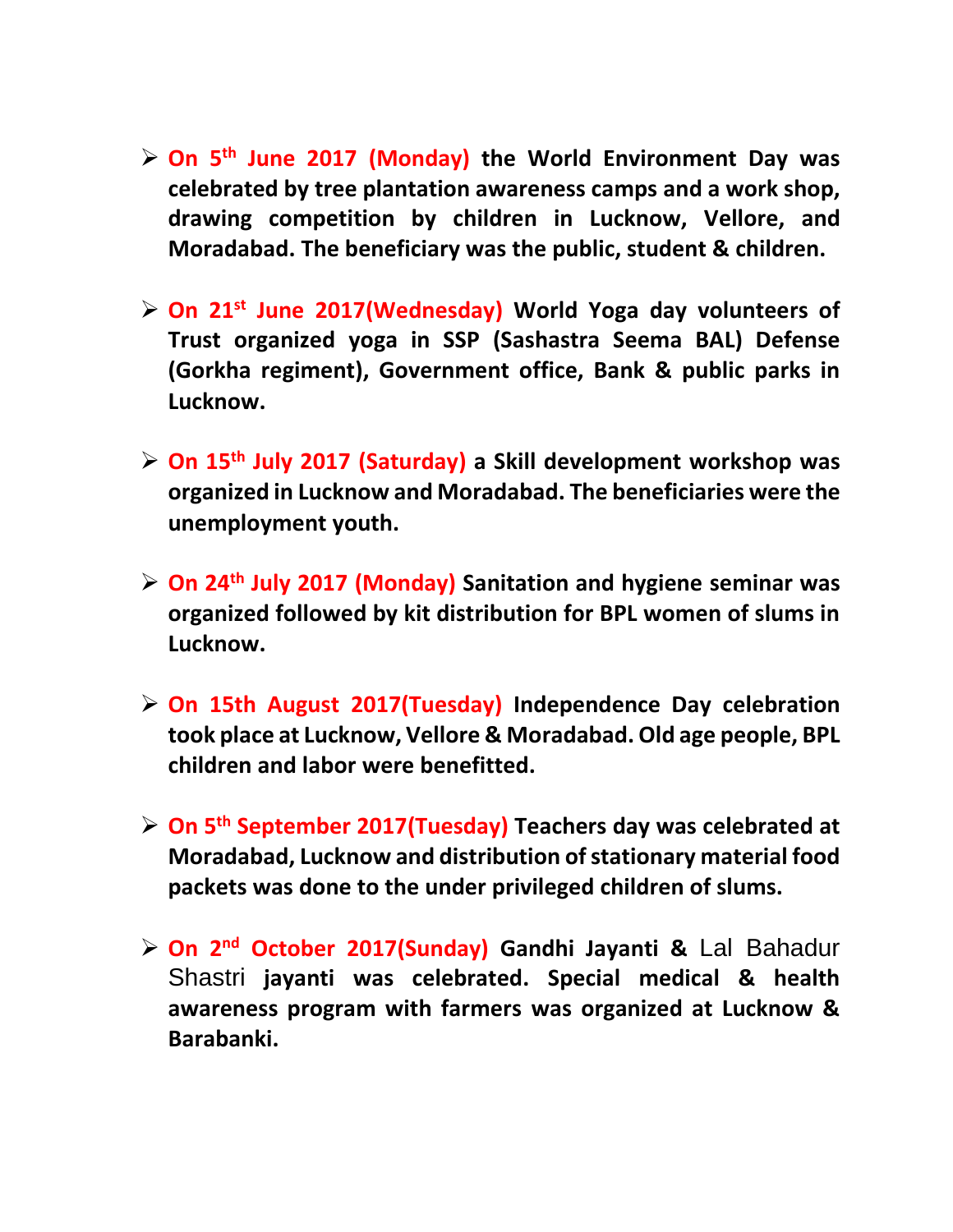- **On 5th June 2017 (Monday) the World Environment Day was celebrated by tree plantation awareness camps and a work shop, drawing competition by children in Lucknow, Vellore, and Moradabad. The beneficiary was the public, student & children.**
- **On 21st June 2017(Wednesday) World Yoga day volunteers of Trust organized yoga in SSP (Sashastra Seema BAL) Defense (Gorkha regiment), Government office, Bank & public parks in Lucknow.**
- **On 15th July 2017 (Saturday) a Skill development workshop was organized in Lucknow and Moradabad. The beneficiaries were the unemployment youth.**
- **On 24th July 2017 (Monday) Sanitation and hygiene seminar was organized followed by kit distribution for BPL women of slums in Lucknow.**
- **On 15th August 2017(Tuesday) Independence Day celebration took place at Lucknow, Vellore & Moradabad. Old age people, BPL children and labor were benefitted.**
- **On 5th September 2017(Tuesday) Teachers day was celebrated at Moradabad, Lucknow and distribution of stationary material food packets was done to the under privileged children of slums.**
- **On 2nd October 2017(Sunday) Gandhi Jayanti &** Lal Bahadur Shastri **jayanti was celebrated. Special medical & health awareness program with farmers was organized at Lucknow & Barabanki.**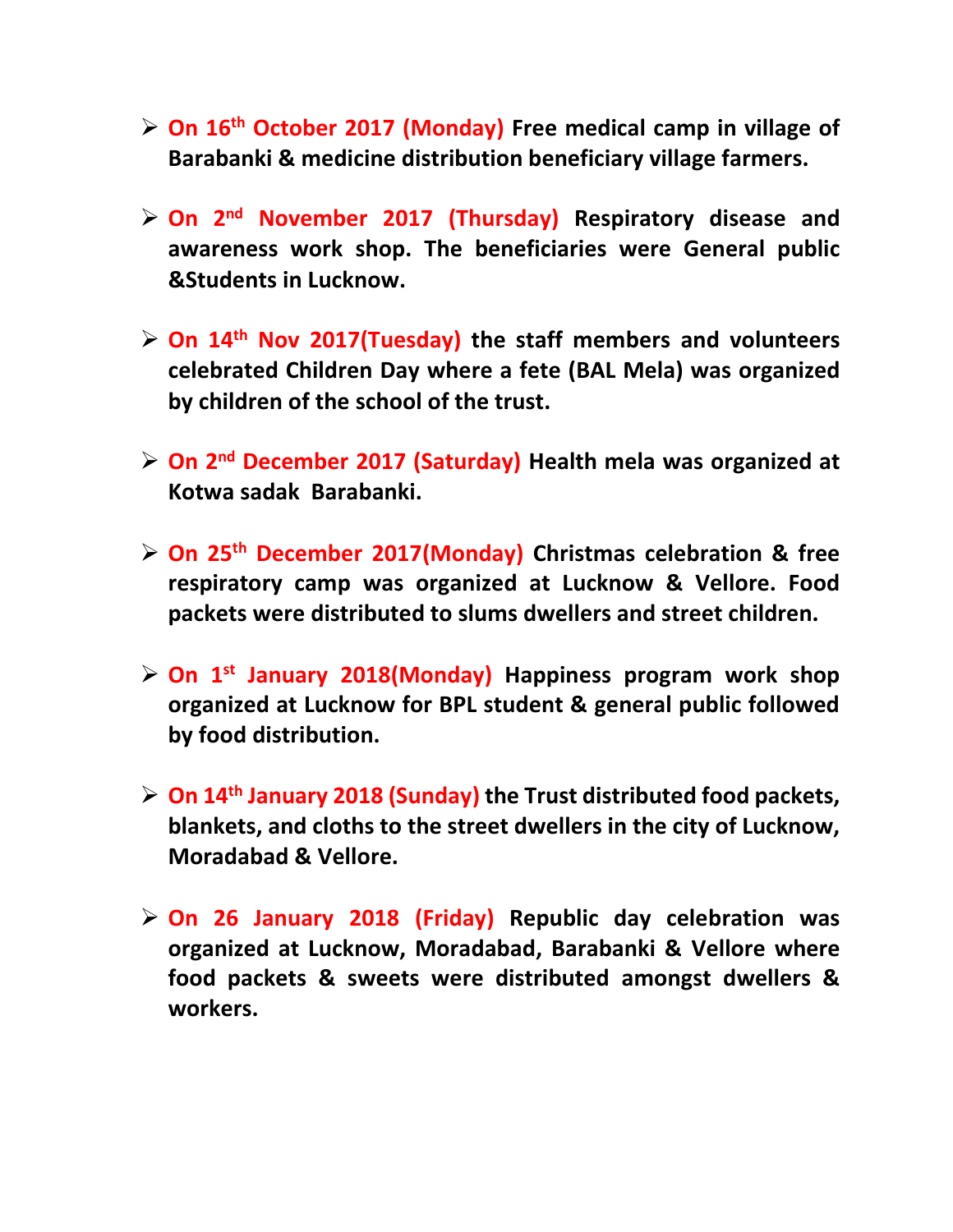- **On 16th October 2017 (Monday) Free medical camp in village of Barabanki & medicine distribution beneficiary village farmers.**
- **On 2nd November 2017 (Thursday) Respiratory disease and awareness work shop. The beneficiaries were General public &Students in Lucknow.**
- **On 14th Nov 2017(Tuesday) the staff members and volunteers celebrated Children Day where a fete (BAL Mela) was organized by children of the school of the trust.**
- **On 2nd December 2017 (Saturday) Health mela was organized at Kotwa sadak Barabanki.**
- **On 25th December 2017(Monday) Christmas celebration & free respiratory camp was organized at Lucknow & Vellore. Food packets were distributed to slums dwellers and street children.**
- **On 1st January 2018(Monday) Happiness program work shop organized at Lucknow for BPL student & general public followed by food distribution.**
- **On 14th January 2018 (Sunday) the Trust distributed food packets, blankets, and cloths to the street dwellers in the city of Lucknow, Moradabad & Vellore.**
- **On 26 January 2018 (Friday) Republic day celebration was organized at Lucknow, Moradabad, Barabanki & Vellore where food packets & sweets were distributed amongst dwellers & workers.**